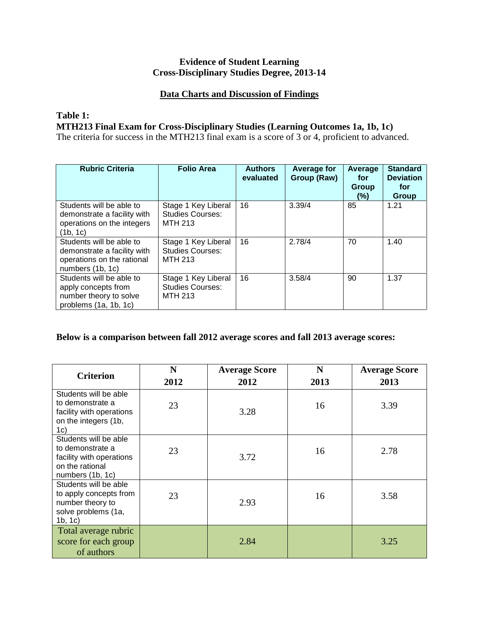### **Evidence of Student Learning Cross-Disciplinary Studies Degree, 2013-14**

#### **Data Charts and Discussion of Findings**

#### **Table 1:**

**MTH213 Final Exam for Cross-Disciplinary Studies (Learning Outcomes 1a, 1b, 1c)**

The criteria for success in the MTH213 final exam is a score of 3 or 4, proficient to advanced.

| <b>Rubric Criteria</b>                                                                                    | <b>Folio Area</b>                                                | <b>Authors</b><br>evaluated | <b>Average for</b><br>Group (Raw) | Average<br>for<br>Group<br>$(\%)$ | <b>Standard</b><br><b>Deviation</b><br>for<br>Group |
|-----------------------------------------------------------------------------------------------------------|------------------------------------------------------------------|-----------------------------|-----------------------------------|-----------------------------------|-----------------------------------------------------|
| Students will be able to<br>demonstrate a facility with<br>operations on the integers<br>(1b, 1c)         | Stage 1 Key Liberal<br><b>Studies Courses:</b><br><b>MTH 213</b> | 16                          | 3.39/4                            | 85                                | 1.21                                                |
| Students will be able to<br>demonstrate a facility with<br>operations on the rational<br>numbers (1b, 1c) | Stage 1 Key Liberal<br><b>Studies Courses:</b><br><b>MTH 213</b> | 16                          | 2.78/4                            | 70                                | 1.40                                                |
| Students will be able to<br>apply concepts from<br>number theory to solve<br>problems (1a, 1b, 1c)        | Stage 1 Key Liberal<br><b>Studies Courses:</b><br><b>MTH 213</b> | 16                          | 3.58/4                            | 90                                | 1.37                                                |

#### **Below is a comparison between fall 2012 average scores and fall 2013 average scores:**

| <b>Criterion</b>                                                                                             | N    | <b>Average Score</b> | N    | <b>Average Score</b> |
|--------------------------------------------------------------------------------------------------------------|------|----------------------|------|----------------------|
|                                                                                                              | 2012 | 2012                 | 2013 | 2013                 |
| Students will be able<br>to demonstrate a<br>facility with operations<br>on the integers (1b,<br>1c)         | 23   | 3.28                 | 16   | 3.39                 |
| Students will be able<br>to demonstrate a<br>facility with operations<br>on the rational<br>numbers (1b, 1c) | 23   | 3.72                 | 16   | 2.78                 |
| Students will be able<br>to apply concepts from<br>number theory to<br>solve problems (1a,<br>1b, 1c)        | 23   | 2.93                 | 16   | 3.58                 |
| Total average rubric<br>score for each group<br>of authors                                                   |      | 2.84                 |      | 3.25                 |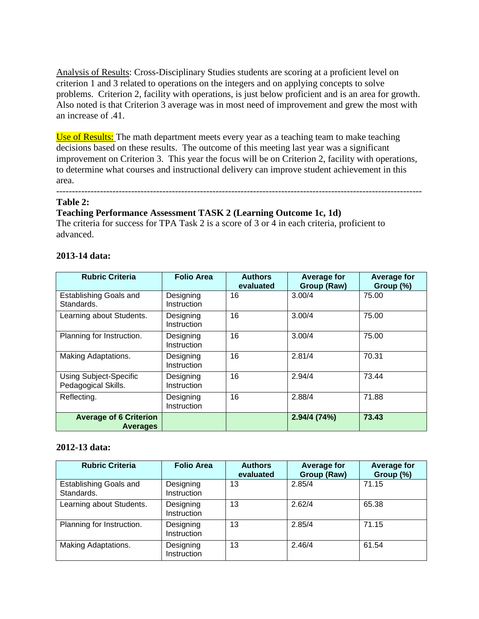Analysis of Results: Cross-Disciplinary Studies students are scoring at a proficient level on criterion 1 and 3 related to operations on the integers and on applying concepts to solve problems. Criterion 2, facility with operations, is just below proficient and is an area for growth. Also noted is that Criterion 3 average was in most need of improvement and grew the most with an increase of .41.

Use of Results: The math department meets every year as a teaching team to make teaching decisions based on these results. The outcome of this meeting last year was a significant improvement on Criterion 3. This year the focus will be on Criterion 2, facility with operations, to determine what courses and instructional delivery can improve student achievement in this area.

#### --------------------------------------------------------------------------------------------------------------------- **Table 2:**

#### **Teaching Performance Assessment TASK 2 (Learning Outcome 1c, 1d)**

The criteria for success for TPA Task 2 is a score of 3 or 4 in each criteria, proficient to advanced.

#### **2013-14 data:**

| <b>Rubric Criteria</b>                               | <b>Folio Area</b>        | <b>Authors</b><br>evaluated | <b>Average for</b><br>Group (Raw) | <b>Average for</b><br>Group (%) |
|------------------------------------------------------|--------------------------|-----------------------------|-----------------------------------|---------------------------------|
| <b>Establishing Goals and</b><br>Standards.          | Designing<br>Instruction | 16                          | 3.00/4                            | 75.00                           |
| Learning about Students.                             | Designing<br>Instruction | 16                          | 3.00/4                            | 75.00                           |
| Planning for Instruction.                            | Designing<br>Instruction | 16                          | 3.00/4                            | 75.00                           |
| Making Adaptations.                                  | Designing<br>Instruction | 16                          | 2.81/4                            | 70.31                           |
| <b>Using Subject-Specific</b><br>Pedagogical Skills. | Designing<br>Instruction | 16                          | 2.94/4                            | 73.44                           |
| Reflecting.                                          | Designing<br>Instruction | 16                          | 2.88/4                            | 71.88                           |
| <b>Average of 6 Criterion</b><br><b>Averages</b>     |                          |                             | 2.94/4 (74%)                      | 73.43                           |

#### **2012-13 data:**

| <b>Rubric Criteria</b>               | <b>Folio Area</b>        | <b>Authors</b><br>evaluated | <b>Average for</b><br>Group (Raw) | <b>Average for</b><br>Group (%) |
|--------------------------------------|--------------------------|-----------------------------|-----------------------------------|---------------------------------|
| Establishing Goals and<br>Standards. | Designing<br>Instruction | 13                          | 2.85/4                            | 71.15                           |
| Learning about Students.             | Designing<br>Instruction | 13                          | 2.62/4                            | 65.38                           |
| Planning for Instruction.            | Designing<br>Instruction | 13                          | 2.85/4                            | 71.15                           |
| Making Adaptations.                  | Designing<br>Instruction | 13                          | 2.46/4                            | 61.54                           |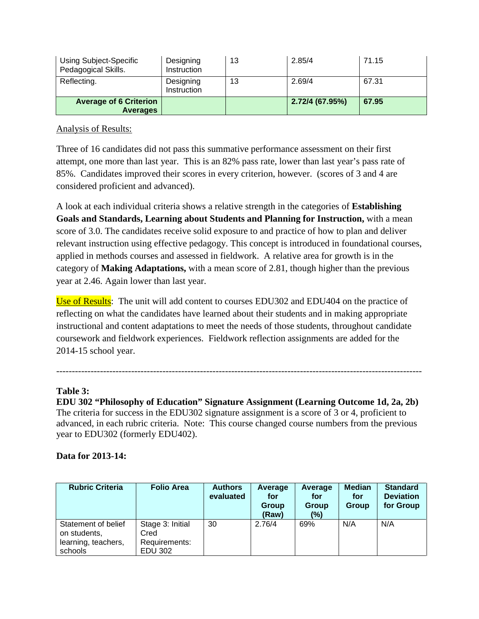| Using Subject-Specific<br>Pedagogical Skills.    | Designing<br>Instruction | 13 | 2.85/4          | 71.15 |
|--------------------------------------------------|--------------------------|----|-----------------|-------|
| Reflecting.                                      | Designing<br>Instruction | 13 | 2.69/4          | 67.31 |
| <b>Average of 6 Criterion</b><br><b>Averages</b> |                          |    | 2.72/4 (67.95%) | 67.95 |

# Analysis of Results:

Three of 16 candidates did not pass this summative performance assessment on their first attempt, one more than last year. This is an 82% pass rate, lower than last year's pass rate of 85%. Candidates improved their scores in every criterion, however. (scores of 3 and 4 are considered proficient and advanced).

A look at each individual criteria shows a relative strength in the categories of **Establishing Goals and Standards, Learning about Students and Planning for Instruction,** with a mean score of 3.0. The candidates receive solid exposure to and practice of how to plan and deliver relevant instruction using effective pedagogy. This concept is introduced in foundational courses, applied in methods courses and assessed in fieldwork. A relative area for growth is in the category of **Making Adaptations,** with a mean score of 2.81, though higher than the previous year at 2.46. Again lower than last year.

Use of Results: The unit will add content to courses EDU302 and EDU404 on the practice of reflecting on what the candidates have learned about their students and in making appropriate instructional and content adaptations to meet the needs of those students, throughout candidate coursework and fieldwork experiences. Fieldwork reflection assignments are added for the 2014-15 school year.

# **Table 3:**

**EDU 302 "Philosophy of Education" Signature Assignment (Learning Outcome 1d, 2a, 2b)** The criteria for success in the EDU302 signature assignment is a score of 3 or 4, proficient to advanced, in each rubric criteria. Note: This course changed course numbers from the previous year to EDU302 (formerly EDU402).

---------------------------------------------------------------------------------------------------------------------

# **Data for 2013-14:**

| <b>Rubric Criteria</b>                                                | <b>Folio Area</b>                                    | <b>Authors</b><br>evaluated | Average<br>for<br>Group<br>(Raw) | Average<br>for<br>Group<br>(%) | <b>Median</b><br>for<br>Group | <b>Standard</b><br><b>Deviation</b><br>for Group |
|-----------------------------------------------------------------------|------------------------------------------------------|-----------------------------|----------------------------------|--------------------------------|-------------------------------|--------------------------------------------------|
| Statement of belief<br>on students,<br>learning, teachers,<br>schools | Stage 3: Initial<br>Cred<br>Requirements:<br>EDU 302 | 30                          | 2.76/4                           | 69%                            | N/A                           | N/A                                              |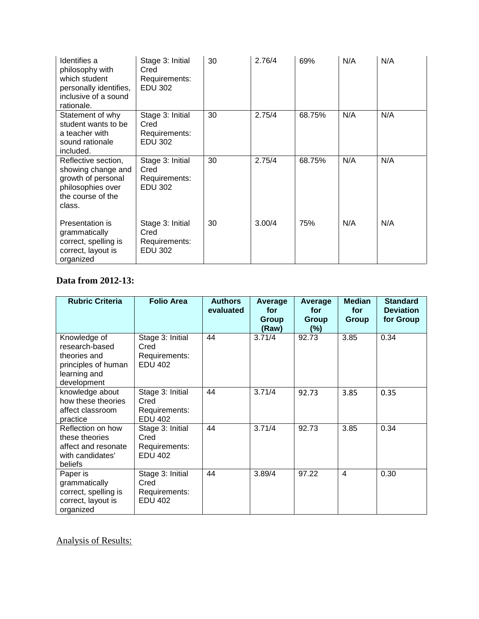| Identifies a<br>philosophy with<br>which student<br>personally identifies,<br>inclusive of a sound<br>rationale.    | Stage 3: Initial<br>Cred<br>Requirements:<br><b>EDU 302</b> | 30 | 2.76/4 | 69%    | N/A | N/A |
|---------------------------------------------------------------------------------------------------------------------|-------------------------------------------------------------|----|--------|--------|-----|-----|
| Statement of why<br>student wants to be<br>a teacher with<br>sound rationale<br>included.                           | Stage 3: Initial<br>Cred<br>Requirements:<br><b>EDU 302</b> | 30 | 2.75/4 | 68.75% | N/A | N/A |
| Reflective section,<br>showing change and<br>growth of personal<br>philosophies over<br>the course of the<br>class. | Stage 3: Initial<br>Cred<br>Requirements:<br><b>EDU 302</b> | 30 | 2.75/4 | 68.75% | N/A | N/A |
| Presentation is<br>grammatically<br>correct, spelling is<br>correct, layout is<br>organized                         | Stage 3: Initial<br>Cred<br>Requirements:<br>EDU 302        | 30 | 3.00/4 | 75%    | N/A | N/A |

# **Data from 2012-13:**

| <b>Rubric Criteria</b>                                                                               | <b>Folio Area</b>                                           | <b>Authors</b><br>evaluated | Average<br>for<br>Group<br>(Raw) | Average<br>for<br>Group<br>$(\%)$ | <b>Median</b><br>for<br><b>Group</b> | <b>Standard</b><br><b>Deviation</b><br>for Group |
|------------------------------------------------------------------------------------------------------|-------------------------------------------------------------|-----------------------------|----------------------------------|-----------------------------------|--------------------------------------|--------------------------------------------------|
| Knowledge of<br>research-based<br>theories and<br>principles of human<br>learning and<br>development | Stage 3: Initial<br>Cred<br>Requirements:<br><b>EDU 402</b> | 44                          | 3.71/4                           | 92.73                             | 3.85                                 | 0.34                                             |
| knowledge about<br>how these theories<br>affect classroom<br>practice                                | Stage 3: Initial<br>Cred<br>Requirements:<br><b>EDU 402</b> | 44                          | 3.71/4                           | 92.73                             | 3.85                                 | 0.35                                             |
| Reflection on how<br>these theories<br>affect and resonate<br>with candidates'<br>beliefs            | Stage 3: Initial<br>Cred<br>Requirements:<br><b>EDU 402</b> | 44                          | 3.71/4                           | 92.73                             | 3.85                                 | 0.34                                             |
| Paper is<br>grammatically<br>correct, spelling is<br>correct, layout is<br>organized                 | Stage 3: Initial<br>Cred<br>Requirements:<br><b>EDU 402</b> | 44                          | 3.89/4                           | 97.22                             | 4                                    | 0.30                                             |

Analysis of Results: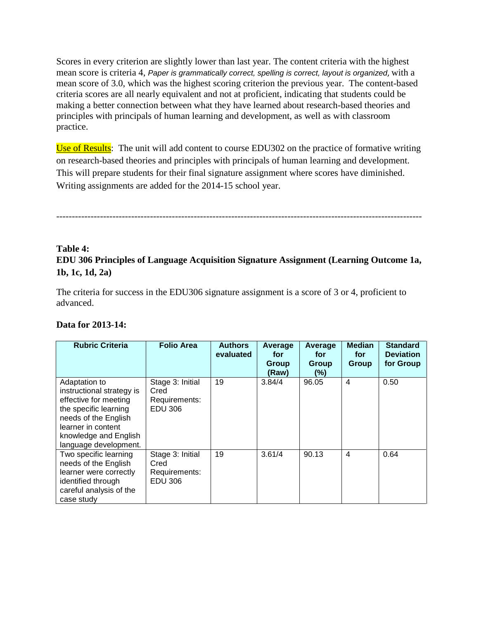Scores in every criterion are slightly lower than last year. The content criteria with the highest mean score is criteria 4, *Paper is grammatically correct, spelling is correct, layout is organized*, with a mean score of 3.0, which was the highest scoring criterion the previous year. The content-based criteria scores are all nearly equivalent and not at proficient, indicating that students could be making a better connection between what they have learned about research-based theories and principles with principals of human learning and development, as well as with classroom practice.

Use of Results: The unit will add content to course EDU302 on the practice of formative writing on research-based theories and principles with principals of human learning and development. This will prepare students for their final signature assignment where scores have diminished. Writing assignments are added for the 2014-15 school year.

---------------------------------------------------------------------------------------------------------------------

# **Table 4: EDU 306 Principles of Language Acquisition Signature Assignment (Learning Outcome 1a, 1b, 1c, 1d, 2a)**

The criteria for success in the EDU306 signature assignment is a score of 3 or 4, proficient to advanced.

| Data for 2013-14: |  |
|-------------------|--|
|-------------------|--|

| <b>Rubric Criteria</b>                                                                                                                                                                       | <b>Folio Area</b>                                           | <b>Authors</b><br>evaluated | Average<br>for<br><b>Group</b><br>(Raw) | Average<br>for<br>Group<br>(%) | <b>Median</b><br>for<br>Group | <b>Standard</b><br><b>Deviation</b><br>for Group |
|----------------------------------------------------------------------------------------------------------------------------------------------------------------------------------------------|-------------------------------------------------------------|-----------------------------|-----------------------------------------|--------------------------------|-------------------------------|--------------------------------------------------|
| Adaptation to<br>instructional strategy is<br>effective for meeting<br>the specific learning<br>needs of the English<br>learner in content<br>knowledge and English<br>language development. | Stage 3: Initial<br>Cred<br>Requirements:<br>EDU 306        | 19                          | 3.84/4                                  | 96.05                          | $\overline{4}$                | 0.50                                             |
| Two specific learning<br>needs of the English<br>learner were correctly<br>identified through<br>careful analysis of the<br>case study                                                       | Stage 3: Initial<br>Cred<br>Requirements:<br><b>EDU 306</b> | 19                          | 3.61/4                                  | 90.13                          | $\overline{4}$                | 0.64                                             |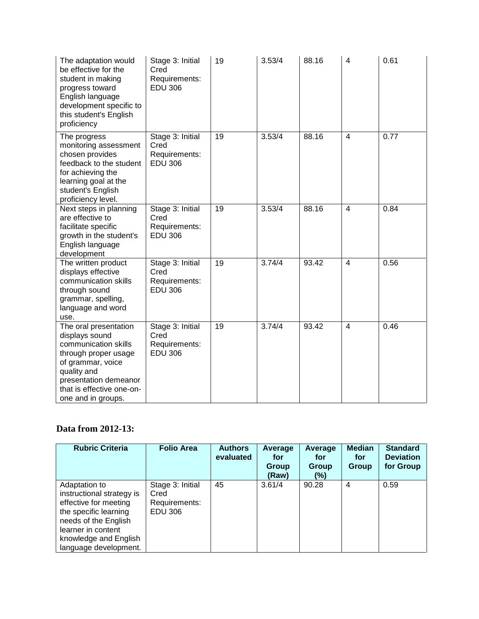| The adaptation would<br>be effective for the<br>student in making<br>progress toward<br>English language<br>development specific to<br>this student's English<br>proficiency                            | Stage 3: Initial<br>Cred<br>Requirements:<br><b>EDU 306</b> | 19 | 3.53/4 | 88.16 | $\overline{4}$ | 0.61 |
|---------------------------------------------------------------------------------------------------------------------------------------------------------------------------------------------------------|-------------------------------------------------------------|----|--------|-------|----------------|------|
| The progress<br>monitoring assessment<br>chosen provides<br>feedback to the student<br>for achieving the<br>learning goal at the<br>student's English<br>proficiency level.                             | Stage 3: Initial<br>Cred<br>Requirements:<br><b>EDU 306</b> | 19 | 3.53/4 | 88.16 | $\overline{4}$ | 0.77 |
| Next steps in planning<br>are effective to<br>facilitate specific<br>growth in the student's<br>English language<br>development                                                                         | Stage 3: Initial<br>Cred<br>Requirements:<br><b>EDU 306</b> | 19 | 3.53/4 | 88.16 | $\overline{4}$ | 0.84 |
| The written product<br>displays effective<br>communication skills<br>through sound<br>grammar, spelling,<br>language and word<br>use.                                                                   | Stage 3: Initial<br>Cred<br>Requirements:<br><b>EDU 306</b> | 19 | 3.74/4 | 93.42 | $\overline{4}$ | 0.56 |
| The oral presentation<br>displays sound<br>communication skills<br>through proper usage<br>of grammar, voice<br>quality and<br>presentation demeanor<br>that is effective one-on-<br>one and in groups. | Stage 3: Initial<br>Cred<br>Requirements:<br><b>EDU 306</b> | 19 | 3.74/4 | 93.42 | $\overline{4}$ | 0.46 |

# **Data from 2012-13:**

| <b>Rubric Criteria</b>                                                                                                                                                                       | <b>Folio Area</b>                                           | <b>Authors</b><br>evaluated | Average<br>for<br>Group<br>(Raw) | Average<br>for<br><b>Group</b><br>(%) | <b>Median</b><br>for<br>Group | <b>Standard</b><br><b>Deviation</b><br>for Group |
|----------------------------------------------------------------------------------------------------------------------------------------------------------------------------------------------|-------------------------------------------------------------|-----------------------------|----------------------------------|---------------------------------------|-------------------------------|--------------------------------------------------|
| Adaptation to<br>instructional strategy is<br>effective for meeting<br>the specific learning<br>needs of the English<br>learner in content<br>knowledge and English<br>language development. | Stage 3: Initial<br>Cred<br>Requirements:<br><b>EDU 306</b> | 45                          | 3.61/4                           | 90.28                                 | 4                             | 0.59                                             |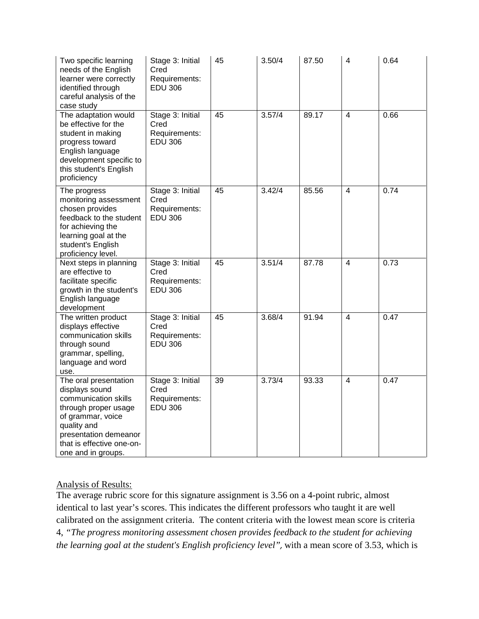| Two specific learning<br>needs of the English<br>learner were correctly<br>identified through<br>careful analysis of the<br>case study                                                                  | Stage 3: Initial<br>Cred<br>Requirements:<br><b>EDU 306</b> | 45 | 3.50/4 | 87.50 | 4                       | 0.64 |
|---------------------------------------------------------------------------------------------------------------------------------------------------------------------------------------------------------|-------------------------------------------------------------|----|--------|-------|-------------------------|------|
| The adaptation would<br>be effective for the<br>student in making<br>progress toward<br>English language<br>development specific to<br>this student's English<br>proficiency                            | Stage 3: Initial<br>Cred<br>Requirements:<br><b>EDU 306</b> | 45 | 3.57/4 | 89.17 | $\overline{4}$          | 0.66 |
| The progress<br>monitoring assessment<br>chosen provides<br>feedback to the student<br>for achieving the<br>learning goal at the<br>student's English<br>proficiency level.                             | Stage 3: Initial<br>Cred<br>Requirements:<br><b>EDU 306</b> | 45 | 3.42/4 | 85.56 | 4                       | 0.74 |
| Next steps in planning<br>are effective to<br>facilitate specific<br>growth in the student's<br>English language<br>development                                                                         | Stage 3: Initial<br>Cred<br>Requirements:<br><b>EDU 306</b> | 45 | 3.51/4 | 87.78 | $\overline{\mathbf{4}}$ | 0.73 |
| The written product<br>displays effective<br>communication skills<br>through sound<br>grammar, spelling,<br>language and word<br>use.                                                                   | Stage 3: Initial<br>Cred<br>Requirements:<br><b>EDU 306</b> | 45 | 3.68/4 | 91.94 | $\overline{\mathbf{4}}$ | 0.47 |
| The oral presentation<br>displays sound<br>communication skills<br>through proper usage<br>of grammar, voice<br>quality and<br>presentation demeanor<br>that is effective one-on-<br>one and in groups. | Stage 3: Initial<br>Cred<br>Requirements:<br><b>EDU 306</b> | 39 | 3.73/4 | 93.33 | $\overline{4}$          | 0.47 |

# Analysis of Results:

The average rubric score for this signature assignment is 3.56 on a 4-point rubric, almost identical to last year's scores. This indicates the different professors who taught it are well calibrated on the assignment criteria. The content criteria with the lowest mean score is criteria 4, *"The progress monitoring assessment chosen provides feedback to the student for achieving the learning goal at the student's English proficiency level",* with a mean score of 3.53, which is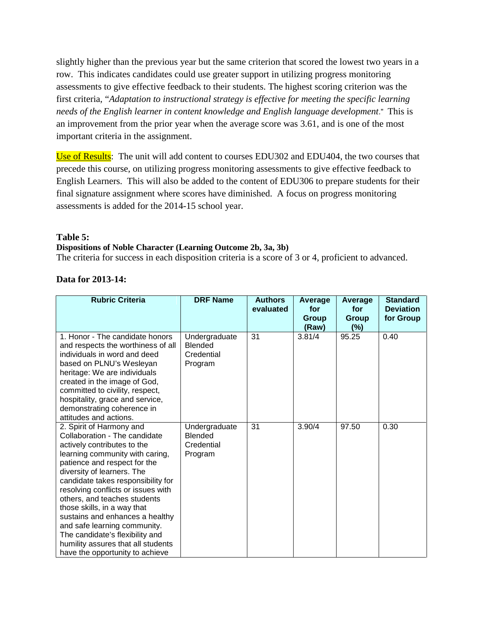slightly higher than the previous year but the same criterion that scored the lowest two years in a row. This indicates candidates could use greater support in utilizing progress monitoring assessments to give effective feedback to their students. The highest scoring criterion was the first criteria, "*Adaptation to instructional strategy is effective for meeting the specific learning needs of the English learner in content knowledge and English language development*." This is an improvement from the prior year when the average score was 3.61, and is one of the most important criteria in the assignment.

Use of Results: The unit will add content to courses EDU302 and EDU404, the two courses that precede this course, on utilizing progress monitoring assessments to give effective feedback to English Learners. This will also be added to the content of EDU306 to prepare students for their final signature assignment where scores have diminished. A focus on progress monitoring assessments is added for the 2014-15 school year.

#### **Table 5:**

#### **Dispositions of Noble Character (Learning Outcome 2b, 3a, 3b)**

The criteria for success in each disposition criteria is a score of 3 or 4, proficient to advanced.

| Data for 2013-14: |  |
|-------------------|--|
|-------------------|--|

| <b>Rubric Criteria</b>                                                                                                                                                                                                                                                                                                                                                                                                                                                                                              | <b>DRF Name</b>                                          | <b>Authors</b><br>evaluated | Average<br>for<br>Group<br>(Raw) | Average<br>for<br>Group<br>(%) | <b>Standard</b><br><b>Deviation</b><br>for Group |
|---------------------------------------------------------------------------------------------------------------------------------------------------------------------------------------------------------------------------------------------------------------------------------------------------------------------------------------------------------------------------------------------------------------------------------------------------------------------------------------------------------------------|----------------------------------------------------------|-----------------------------|----------------------------------|--------------------------------|--------------------------------------------------|
| 1. Honor - The candidate honors<br>and respects the worthiness of all<br>individuals in word and deed<br>based on PLNU's Wesleyan<br>heritage: We are individuals<br>created in the image of God,<br>committed to civility, respect,<br>hospitality, grace and service,<br>demonstrating coherence in<br>attitudes and actions.                                                                                                                                                                                     | Undergraduate<br><b>Blended</b><br>Credential<br>Program | 31                          | 3.81/4                           | 95.25                          | 0.40                                             |
| 2. Spirit of Harmony and<br>Collaboration - The candidate<br>actively contributes to the<br>learning community with caring,<br>patience and respect for the<br>diversity of learners. The<br>candidate takes responsibility for<br>resolving conflicts or issues with<br>others, and teaches students<br>those skills, in a way that<br>sustains and enhances a healthy<br>and safe learning community.<br>The candidate's flexibility and<br>humility assures that all students<br>have the opportunity to achieve | Undergraduate<br>Blended<br>Credential<br>Program        | 31                          | 3.90/4                           | 97.50                          | 0.30                                             |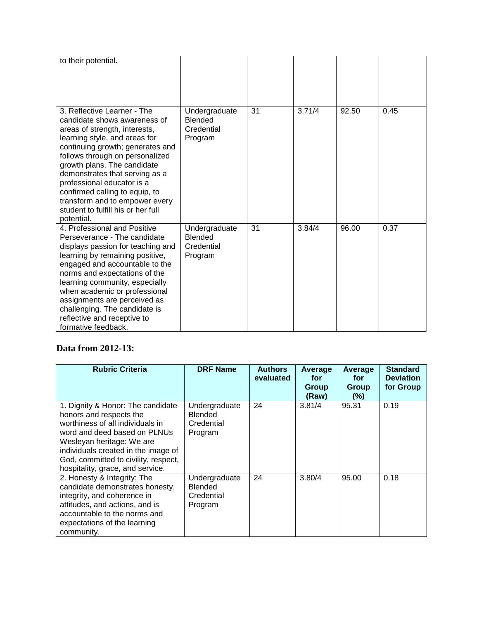| to their potential.                                                                                                                                                                                                                                                                                                                                                                                                         |                                                          |    |        |       |      |
|-----------------------------------------------------------------------------------------------------------------------------------------------------------------------------------------------------------------------------------------------------------------------------------------------------------------------------------------------------------------------------------------------------------------------------|----------------------------------------------------------|----|--------|-------|------|
| 3. Reflective Learner - The<br>candidate shows awareness of<br>areas of strength, interests,<br>learning style, and areas for<br>continuing growth; generates and<br>follows through on personalized<br>growth plans. The candidate<br>demonstrates that serving as a<br>professional educator is a<br>confirmed calling to equip, to<br>transform and to empower every<br>student to fulfill his or her full<br>potential. | Undergraduate<br><b>Blended</b><br>Credential<br>Program | 31 | 3.71/4 | 92.50 | 0.45 |
| 4. Professional and Positive<br>Perseverance - The candidate<br>displays passion for teaching and<br>learning by remaining positive,<br>engaged and accountable to the<br>norms and expectations of the<br>learning community, especially<br>when academic or professional<br>assignments are perceived as<br>challenging. The candidate is<br>reflective and receptive to<br>formative feedback.                           | Undergraduate<br><b>Blended</b><br>Credential<br>Program | 31 | 3.84/4 | 96.00 | 0.37 |

# **Data from 2012-13:**

| <b>Rubric Criteria</b>                                                                                                                                                                                                                                                           | <b>DRF Name</b>                                          | <b>Authors</b><br>evaluated | Average<br>for<br>Group<br>(Raw) | Average<br>for<br>Group<br>$(\%)$ | <b>Standard</b><br><b>Deviation</b><br>for Group |
|----------------------------------------------------------------------------------------------------------------------------------------------------------------------------------------------------------------------------------------------------------------------------------|----------------------------------------------------------|-----------------------------|----------------------------------|-----------------------------------|--------------------------------------------------|
| 1. Dignity & Honor: The candidate<br>honors and respects the<br>worthiness of all individuals in<br>word and deed based on PLNUs<br>Wesleyan heritage: We are<br>individuals created in the image of<br>God, committed to civility, respect,<br>hospitality, grace, and service. | Undergraduate<br><b>Blended</b><br>Credential<br>Program | 24                          | 3.81/4                           | 95.31                             | 0.19                                             |
| 2. Honesty & Integrity: The<br>candidate demonstrates honesty,<br>integrity, and coherence in<br>attitudes, and actions, and is<br>accountable to the norms and<br>expectations of the learning<br>community.                                                                    | Undergraduate<br><b>Blended</b><br>Credential<br>Program | 24                          | 3.80/4                           | 95.00                             | 0.18                                             |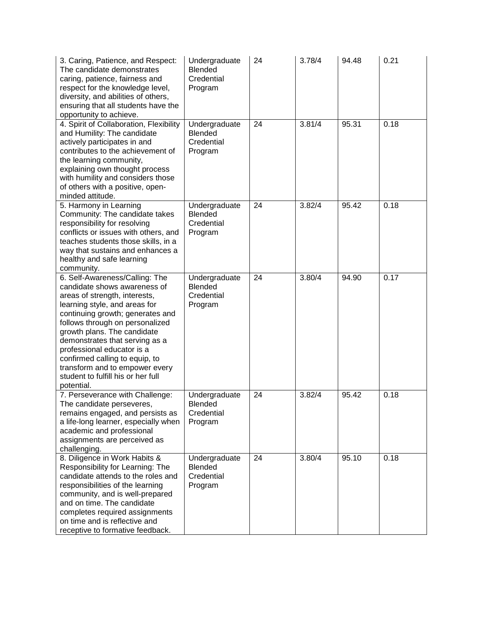| 3. Caring, Patience, and Respect:<br>The candidate demonstrates<br>caring, patience, fairness and<br>respect for the knowledge level,<br>diversity, and abilities of others,<br>ensuring that all students have the<br>opportunity to achieve.                                                                                                                                                                                 | Undergraduate<br>Blended<br>Credential<br>Program        | 24 | 3.78/4 | 94.48 | 0.21 |
|--------------------------------------------------------------------------------------------------------------------------------------------------------------------------------------------------------------------------------------------------------------------------------------------------------------------------------------------------------------------------------------------------------------------------------|----------------------------------------------------------|----|--------|-------|------|
| 4. Spirit of Collaboration, Flexibility<br>and Humility: The candidate<br>actively participates in and<br>contributes to the achievement of<br>the learning community,<br>explaining own thought process<br>with humility and considers those<br>of others with a positive, open-<br>minded attitude.                                                                                                                          | Undergraduate<br>Blended<br>Credential<br>Program        | 24 | 3.81/4 | 95.31 | 0.18 |
| 5. Harmony in Learning<br>Community: The candidate takes<br>responsibility for resolving<br>conflicts or issues with others, and<br>teaches students those skills, in a<br>way that sustains and enhances a<br>healthy and safe learning<br>community.                                                                                                                                                                         | Undergraduate<br>Blended<br>Credential<br>Program        | 24 | 3.82/4 | 95.42 | 0.18 |
| 6. Self-Awareness/Calling: The<br>candidate shows awareness of<br>areas of strength, interests,<br>learning style, and areas for<br>continuing growth; generates and<br>follows through on personalized<br>growth plans. The candidate<br>demonstrates that serving as a<br>professional educator is a<br>confirmed calling to equip, to<br>transform and to empower every<br>student to fulfill his or her full<br>potential. | Undergraduate<br><b>Blended</b><br>Credential<br>Program | 24 | 3.80/4 | 94.90 | 0.17 |
| 7. Perseverance with Challenge:<br>The candidate perseveres,<br>remains engaged, and persists as<br>a life-long learner, especially when<br>academic and professional<br>assignments are perceived as<br>challenging.                                                                                                                                                                                                          | Undergraduate<br>Blended:<br>Credential<br>Program       | 24 | 3.82/4 | 95.42 | 0.18 |
| 8. Diligence in Work Habits &<br>Responsibility for Learning: The<br>candidate attends to the roles and<br>responsibilities of the learning<br>community, and is well-prepared<br>and on time. The candidate<br>completes required assignments<br>on time and is reflective and<br>receptive to formative feedback.                                                                                                            | Undergraduate<br>Blended<br>Credential<br>Program        | 24 | 3.80/4 | 95.10 | 0.18 |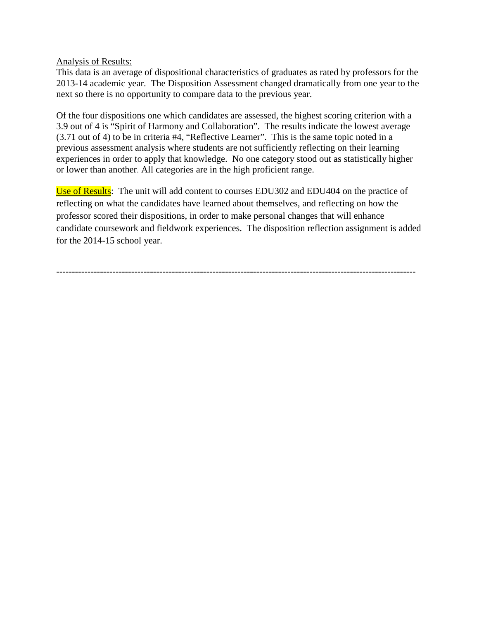Analysis of Results:

This data is an average of dispositional characteristics of graduates as rated by professors for the 2013-14 academic year. The Disposition Assessment changed dramatically from one year to the next so there is no opportunity to compare data to the previous year.

Of the four dispositions one which candidates are assessed, the highest scoring criterion with a 3.9 out of 4 is "Spirit of Harmony and Collaboration". The results indicate the lowest average (3.71 out of 4) to be in criteria #4, "Reflective Learner". This is the same topic noted in a previous assessment analysis where students are not sufficiently reflecting on their learning experiences in order to apply that knowledge. No one category stood out as statistically higher or lower than another. All categories are in the high proficient range.

Use of Results: The unit will add content to courses EDU302 and EDU404 on the practice of reflecting on what the candidates have learned about themselves, and reflecting on how the professor scored their dispositions, in order to make personal changes that will enhance candidate coursework and fieldwork experiences. The disposition reflection assignment is added for the 2014-15 school year.

-------------------------------------------------------------------------------------------------------------------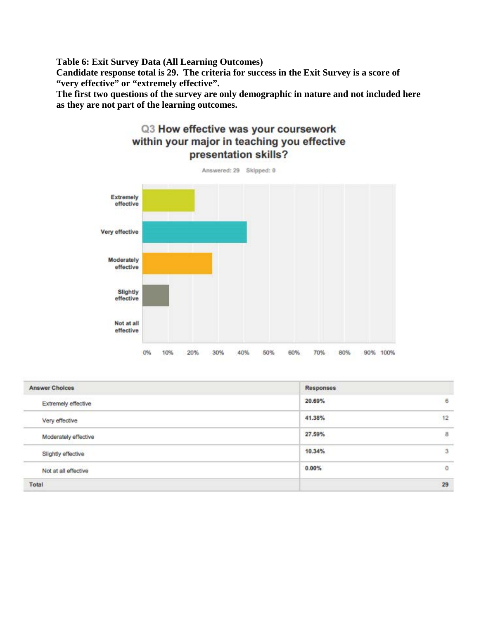**Table 6: Exit Survey Data (All Learning Outcomes) Candidate response total is 29. The criteria for success in the Exit Survey is a score of "very effective" or "extremely effective".**

**The first two questions of the survey are only demographic in nature and not included here as they are not part of the learning outcomes.**



| <b>Answer Choices</b> | Responses |          |
|-----------------------|-----------|----------|
| Extremely effective   | 20.69%    | 6        |
| Very effective        | 41.38%    | 12       |
| Moderately effective  | 27.59%    | 8        |
| Slightly effective    | 10.34%    | 3        |
| Not at all effective  | 0.00%     | $\Omega$ |
| Total                 |           | 29       |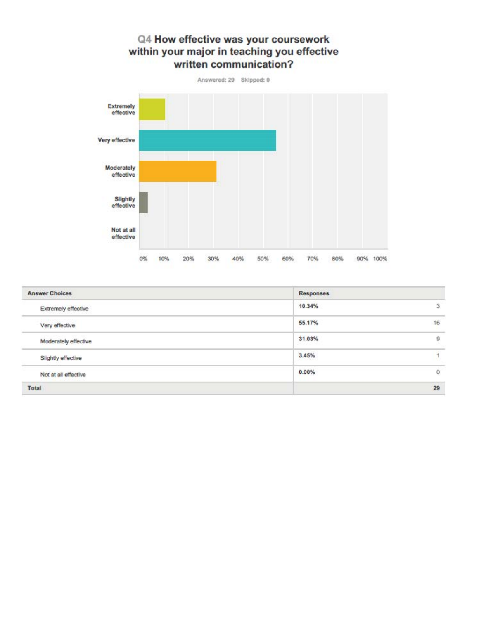# Q4 How effective was your coursework within your major in teaching you effective written communication? Answered: 29 Skipped: 0 Extremely



| <b>Answer Choices</b> | Responses     |    |
|-----------------------|---------------|----|
| Extremely effective   | 10.34%        | 3  |
| Very effective        | 55.17%        | 16 |
| Moderately effective  | 31.03%<br>--- | ğ  |
| Slightly effective    | 3.45%         |    |
| Not at all effective  | $0.00\%$      | Ü  |
| Total                 |               | 29 |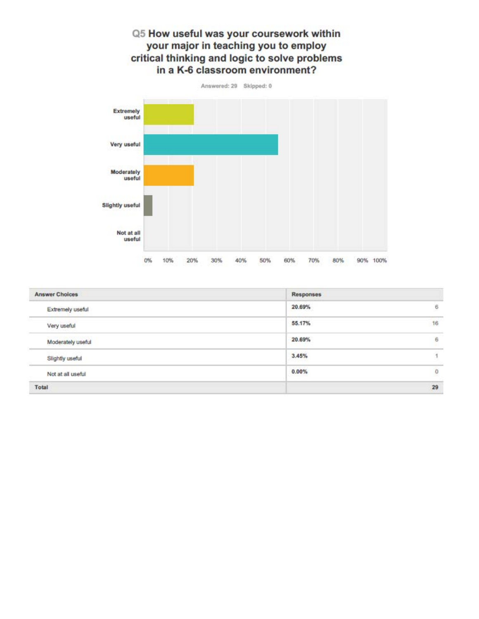# Q5 How useful was your coursework within your major in teaching you to employ critical thinking and logic to solve problems in a K-6 classroom environment?



| <b>Answer Choices</b> | Responses |                |
|-----------------------|-----------|----------------|
| Extremely useful      | 20.69%    | $\overline{6}$ |
| Very useful           | 55.17%    | 16             |
| Moderately useful     | 20.69%    | 6              |
| Slightly useful       | 3.45%     |                |
| Not at all useful     | 0.00%     | $\mathbf 0$    |
| Total                 |           | 29             |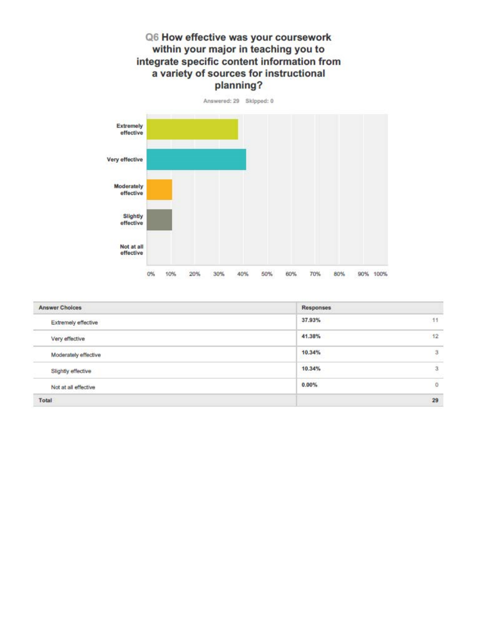# Q6 How effective was your coursework within your major in teaching you to integrate specific content information from a variety of sources for instructional planning?



| <b>Answer Choices</b> | Responses                           |    |
|-----------------------|-------------------------------------|----|
| Extremely effective   | 37.93%                              | 11 |
| Very effective        | 41.38%                              | 12 |
| Moderately effective  | 10.34%<br>Andrew Corporation of the | 3  |
| Slightly effective    | 10.34%                              | 3  |
| Not at all effective  | 0.00%                               | 0  |
| Total                 |                                     | 29 |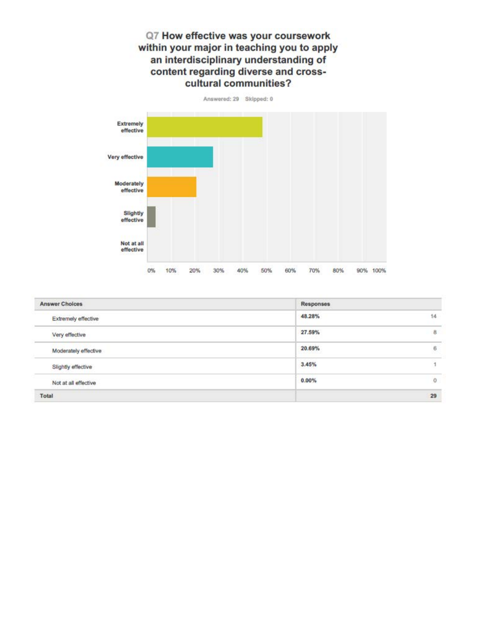# Q7 How effective was your coursework within your major in teaching you to apply an interdisciplinary understanding of content regarding diverse and crosscultural communities?



| <b>Answer Choices</b> | Responses |    |
|-----------------------|-----------|----|
| Extremely effective   | 48.28%    | 14 |
| Very effective        | 27.59%    | 8  |
| Moderately effective  | 20.69%    | 6  |
| Slightly effective    | 3.45%     |    |
| Not at all effective  | $0.00\%$  | 0  |
| Total                 |           | 29 |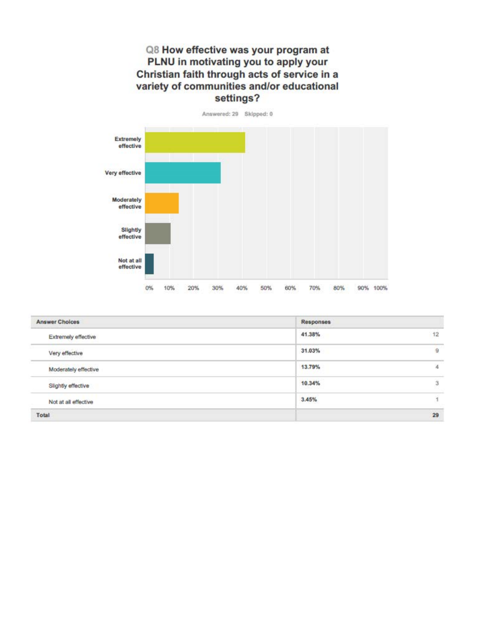# Q8 How effective was your program at PLNU in motivating you to apply your Christian faith through acts of service in a variety of communities and/or educational settings?



| <b>Answer Choices</b> | Responses |                  |
|-----------------------|-----------|------------------|
| Extremely effective   | 41.38%    | 12               |
| Very effective        | 31.03%    | $\overline{9}$   |
| Moderately effective  | 13.79%    | $\boldsymbol{A}$ |
| Slightly effective    | 10.34%    | 3                |
| Not at all effective  | 3.45%     |                  |
| Total                 |           | 29               |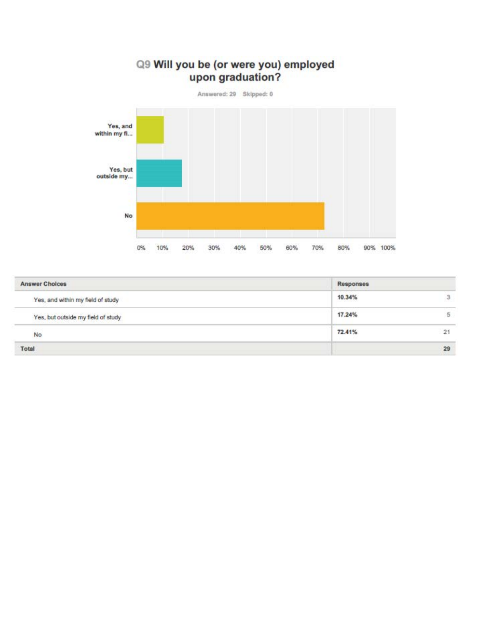# Q9 Will you be (or were you) employed upon graduation?

Answered: 29 Skipped: 0



| <b>Answer Choices</b>              | Responses |    |  |  |
|------------------------------------|-----------|----|--|--|
| Yes, and within my field of study  | 10.34%    | 3  |  |  |
| Yes, but outside my field of study | 17.24%    | 5  |  |  |
| No                                 | 72.41%    | 21 |  |  |
| Total                              |           | 29 |  |  |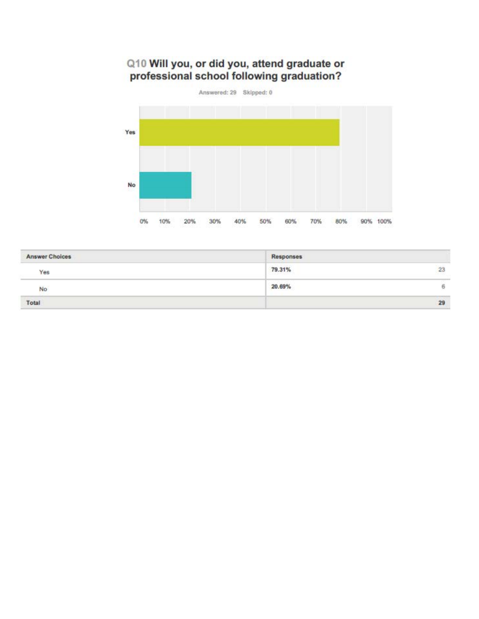# Q10 Will you, or did you, attend graduate or<br>professional school following graduation?



| <b>Answer Choices</b> | <b>Responses</b> |    |
|-----------------------|------------------|----|
| Yes                   | 79.31%           | 23 |
| No                    | 20.69%           | ь  |
| Total                 |                  | 29 |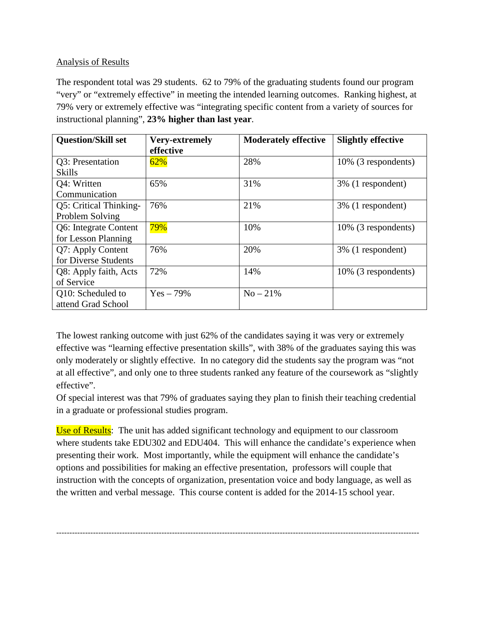# Analysis of Results

The respondent total was 29 students. 62 to 79% of the graduating students found our program "very" or "extremely effective" in meeting the intended learning outcomes. Ranking highest, at 79% very or extremely effective was "integrating specific content from a variety of sources for instructional planning", **23% higher than last year**.

| <b>Question/Skill set</b>                    | <b>Very-extremely</b><br>effective | <b>Moderately effective</b> | <b>Slightly effective</b> |
|----------------------------------------------|------------------------------------|-----------------------------|---------------------------|
| Q3: Presentation<br><b>Skills</b>            | 62%                                | 28%                         | 10% (3 respondents)       |
| Q4: Written<br>Communication                 | 65%                                | 31%                         | 3% (1 respondent)         |
| Q5: Critical Thinking-<br>Problem Solving    | 76%                                | 21%                         | 3% (1 respondent)         |
| Q6: Integrate Content<br>for Lesson Planning | 79%                                | 10%                         | 10% (3 respondents)       |
| Q7: Apply Content<br>for Diverse Students    | 76%                                | 20%                         | 3% (1 respondent)         |
| Q8: Apply faith, Acts<br>of Service          | 72%                                | 14%                         | 10% (3 respondents)       |
| Q10: Scheduled to<br>attend Grad School      | $Yes - 79\%$                       | $No - 21\%$                 |                           |

The lowest ranking outcome with just 62% of the candidates saying it was very or extremely effective was "learning effective presentation skills", with 38% of the graduates saying this was only moderately or slightly effective. In no category did the students say the program was "not at all effective", and only one to three students ranked any feature of the coursework as "slightly effective".

Of special interest was that 79% of graduates saying they plan to finish their teaching credential in a graduate or professional studies program.

Use of Results: The unit has added significant technology and equipment to our classroom where students take EDU302 and EDU404. This will enhance the candidate's experience when presenting their work. Most importantly, while the equipment will enhance the candidate's options and possibilities for making an effective presentation, professors will couple that instruction with the concepts of organization, presentation voice and body language, as well as the written and verbal message. This course content is added for the 2014-15 school year.

------------------------------------------------------------------------------------------------------------------------------------------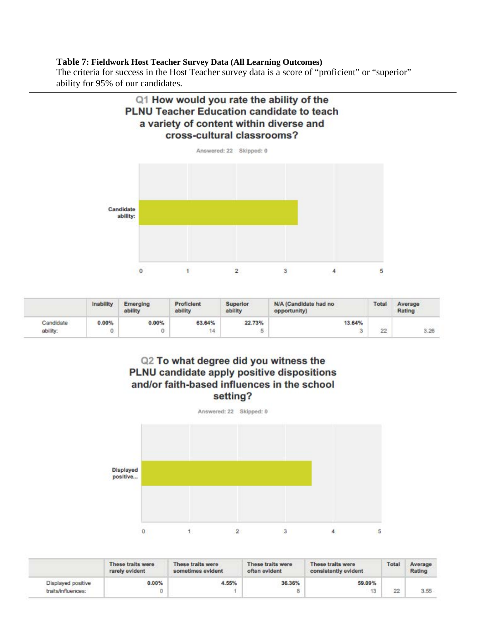#### **Table 7: Fieldwork Host Teacher Survey Data (All Learning Outcomes)**

The criteria for success in the Host Teacher survey data is a score of "proficient" or "superior" ability for 95% of our candidates.





|           | Inability | Emerging<br>ability | Proficient<br>ability | Superior<br>ability | N/A (Candidate had no<br>opportunity) | Total | Average<br>Rating |
|-----------|-----------|---------------------|-----------------------|---------------------|---------------------------------------|-------|-------------------|
| Candidate | 0.00%     | $0.00\%$            | 63.64%                | 22.73%              | 13.64%                                |       |                   |
| ability:  | Ü         | Ü.                  | 14                    |                     | 3                                     | 22    | 3.26              |

# Q2 To what degree did you witness the PLNU candidate apply positive dispositions and/or faith-based influences in the school setting?

Answered: 22 Skipped: 0 **Displayed** positive...  $\overline{2}$ 3  $\mathbf{0}$ Ÿ.  $\overline{4}$ 5

|                    | These traits were<br>rarely evident | These traits were<br>sometimes evident | These traits were<br>often evident | These traits were<br>consistently evident | Total | Average<br>Rating |
|--------------------|-------------------------------------|----------------------------------------|------------------------------------|-------------------------------------------|-------|-------------------|
| Displayed positive | 0.00%                               | 4.55%                                  | 36.36%                             | 59.09%                                    |       |                   |
| traits/influences: |                                     |                                        |                                    | 13                                        | 22    | 3.55              |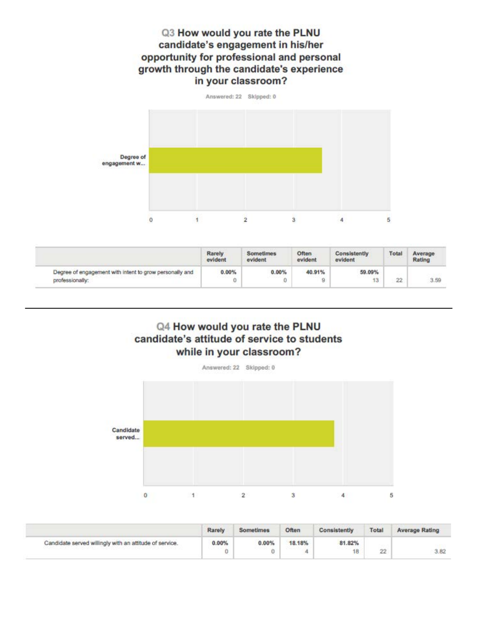# Q3 How would you rate the PLNU candidate's engagement in his/her opportunity for professional and personal growth through the candidate's experience in your classroom?



|                                                         | <b>Rarely</b><br>evident | Sometimes<br>evident | Often<br>evident | Consistently<br>evident | Total | Average<br>Rating |
|---------------------------------------------------------|--------------------------|----------------------|------------------|-------------------------|-------|-------------------|
| Degree of engagement with intent to grow personally and | 0.00%                    | 0.00%                | 40.91%           | 59.09%                  |       |                   |
| professionally:                                         |                          | 0                    |                  | 13                      | 22    | 3.59              |

# Q4 How would you rate the PLNU candidate's attitude of service to students while in your classroom?



|                                                         | Rarely | Sometimes | Often  | Consistently | Total | <b>Average Rating</b> |
|---------------------------------------------------------|--------|-----------|--------|--------------|-------|-----------------------|
| Candidate served willingly with an attitude of service. | 0.00%  | $0.00\%$  | 18.18% | 81.82%<br>18 | 22    | 3.82                  |